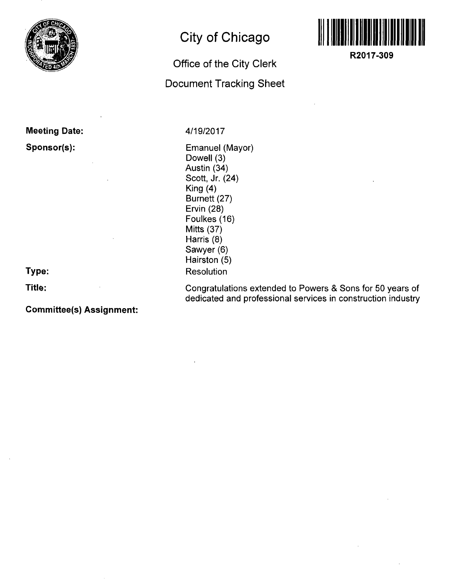

**Meeting Date: Sponsor(s):** 

**Type:** 

**Title:** 

**Committee(s) Assignment:** 

### **City of Chicago**

## **Office of the City Clerk**

#### **Document Tracking Sheet**

**4/19/2017** 

Emanuel (Mayor) Dowell (3) Austin (34) Scott, Jr. (24) King (4) Burnett (27) Ervin (28) Foulkes (16) Mitts (37) Harris (8) Sawyer (6) Hairston (5) Resolution

Congratulations extended to Powers & Sons for 50 years of dedicated and professional services in construction industry



**R2017-309**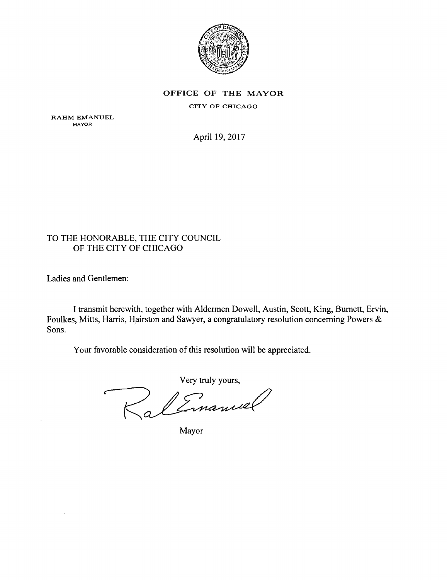

OFFICE OF THE MAYOR CITY OF CHICAGO

RAHM EMANUEL MAYOR

April 19,2017

#### TO THE HONORABLE, THE CITY COUNCIL OF THE CITY OF CHICAGO

Ladies and Gentlemen:

I transmit herewith, together with Aldermen Dowell, Austin, Scott, King, Burnett, Ervin, Foulkes, Mitts, Harris, Hairston and Sawyer, a congratulatory resolution conceming Powers & Sons.

Your favorable consideration of this resolution will be appreciated.

Very truly yours,

Mayor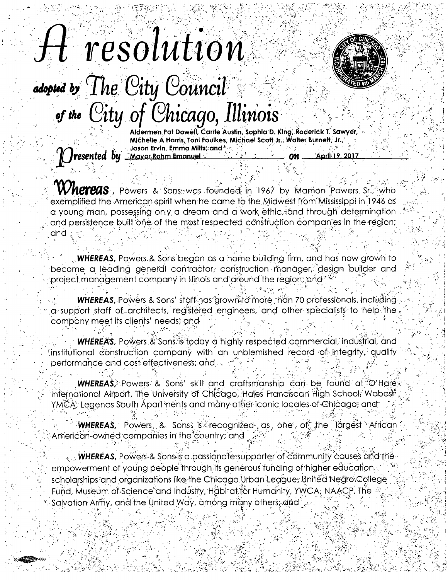# H resolution adopted by The City Council of the City of Chicago, Illinois



Aldermen Pat Dowell, Carrie Austin, Sophia D. King, Roderick T. Sawyer, Michelle A Harris, Toni Foulkes, Michael Scott Jr., Walter Burnett, Jr., Jason Ervin, Emma Mitts, and resented by Mayor Rahm Emanuel April: 19, 2017 0n

**Whereas**, Powers & Sons was founded in 1967 by Mamon Powers Sr., who exemplified the American spirit when he came to the Midwest from Mississippi in 1946 as a young man, possessing only a dream and a work ethic, and through determination and persistence built one of the most respected construction companies in the region; and .

**WHEREAS,** Powers & Sons began as a home building firm, and has now grown to become a leading general contractor, construction manager, design builder and project management company in Illinois and around the region, and

**WHEREAS, Powers & Sons' staff-has grown to more than 70 professionals, including** a support staff of architects, registered engineers, and other specialists to help the company meet its clients' needs; and

**WHEREAS,** Powers & Sons is foday a highly respected commercial, industrial, and institutional construction company with an unblemished record of integrity, quality performance and cost effectiveness; and

**WHEREAS**. Powers & Sons' skill and craftsmanship can be found at  $\circ$  Hare International Airport, The University of Chicago, Hales Franciscan High School, Wabash YMCA; Legends South Apartments and måny other iconic locales of Chicago; and

**WHEREAS,** Powers, & Sons is recognized as one of the largest African American-owned companies in the country; and

 $\cdot$  . WHEREAS, Powers & Sons is a passionate supporter of community causes and the empowerment of young people through its generous funding of higher education. scholarships and organizations like the Chicago Urban League; United Negro College Fund, Museum of Science and Industry, Habitat for Humanity, YWCA, NAACP, The Salvation Army, and the United Way, among many others; and